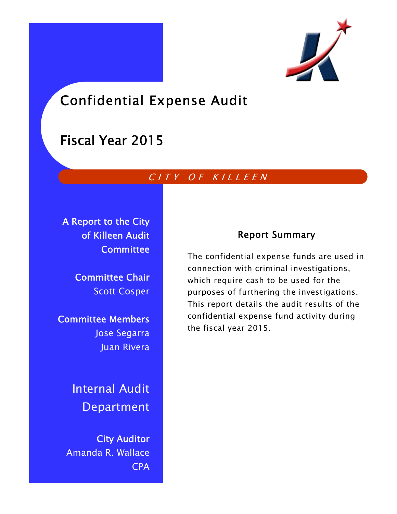

# Confidential Expense Audit

## Fiscal Year 2015

## CITY OF KILLEEN

A Report to the City of Killeen Audit **Committee** 

> Committee Chair Scott Cosper

Committee Members Jose Segarra Juan Rivera

> Internal Audit Department

City Auditor Amanda R. Wallace CPA

## Report Summary

The confidential expense funds are used in connection with criminal investigations, which require cash to be used for the purposes of furthering the investigations. This report details the audit results of the confidential expense fund activity during the fiscal year 2015.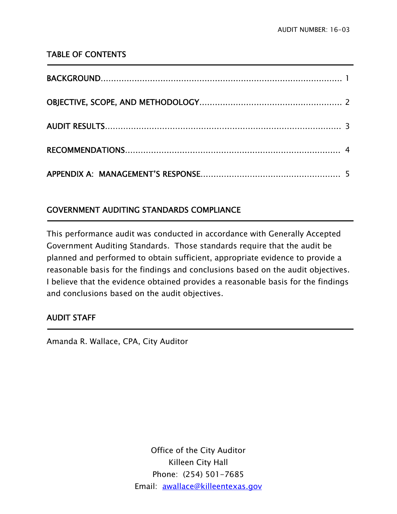### TABLE OF CONTENTS

### GOVERNMENT AUDITING STANDARDS COMPLIANCE

This performance audit was conducted in accordance with Generally Accepted Government Auditing Standards. Those standards require that the audit be planned and performed to obtain sufficient, appropriate evidence to provide a reasonable basis for the findings and conclusions based on the audit objectives. I believe that the evidence obtained provides a reasonable basis for the findings and conclusions based on the audit objectives.

### AUDIT STAFF

Ī

<u>-</u>

Amanda R. Wallace, CPA, City Auditor

Office of the City Auditor Killeen City Hall Phone: (254) 501-7685 Email: awallace@killeentexas.gov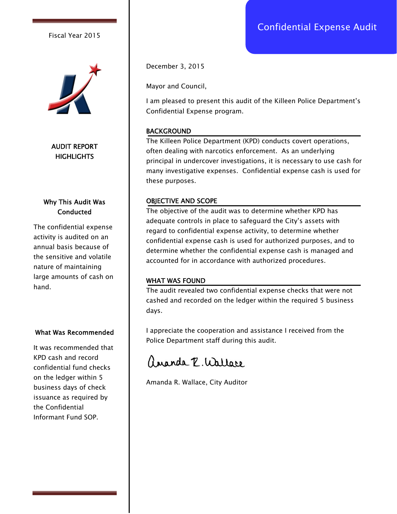Fiscal Year 2015



AUDIT REPORT **HIGHLIGHTS** 

#### Why This Audit Was **Conducted**

The confidential expense activity is audited on an annual basis because of the sensitive and volatile nature of maintaining large amounts of cash on hand.

#### What Was Recommended

It was recommended that KPD cash and record confidential fund checks on the ledger within 5 business days of check issuance as required by the Confidential Informant Fund SOP.

December 3, 2015

Mayor and Council,

I am pleased to present this audit of the Killeen Police Department's Confidential Expense program.

#### BACKGROUND

The Killeen Police Department (KPD) conducts covert operations, often dealing with narcotics enforcement. As an underlying principal in undercover investigations, it is necessary to use cash for many investigative expenses. Confidential expense cash is used for these purposes.

#### OBJECTIVE AND SCOPE

The objective of the audit was to determine whether KPD has adequate controls in place to safeguard the City's assets with regard to confidential expense activity, to determine whether confidential expense cash is used for authorized purposes, and to determine whether the confidential expense cash is managed and accounted for in accordance with authorized procedures.

#### WHAT WAS FOUND

The audit revealed two confidential expense checks that were not cashed and recorded on the ledger within the required 5 business days.

I appreciate the cooperation and assistance I received from the Police Department staff during this audit.

angola P. Wallare

Amanda R. Wallace, City Auditor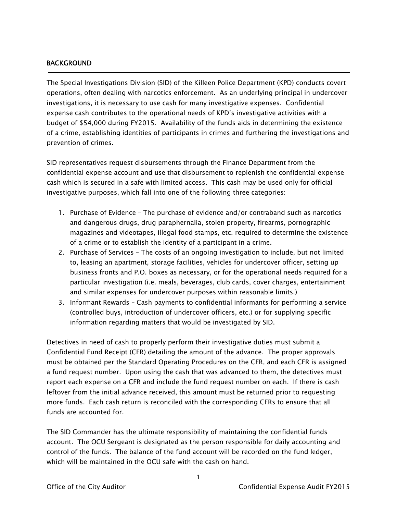#### BACKGROUND

j

The Special Investigations Division (SID) of the Killeen Police Department (KPD) conducts covert operations, often dealing with narcotics enforcement. As an underlying principal in undercover investigations, it is necessary to use cash for many investigative expenses. Confidential expense cash contributes to the operational needs of KPD's investigative activities with a budget of \$54,000 during FY2015. Availability of the funds aids in determining the existence of a crime, establishing identities of participants in crimes and furthering the investigations and prevention of crimes.

SID representatives request disbursements through the Finance Department from the confidential expense account and use that disbursement to replenish the confidential expense cash which is secured in a safe with limited access. This cash may be used only for official investigative purposes, which fall into one of the following three categories:

- 1. Purchase of Evidence The purchase of evidence and/or contraband such as narcotics and dangerous drugs, drug paraphernalia, stolen property, firearms, pornographic magazines and videotapes, illegal food stamps, etc. required to determine the existence of a crime or to establish the identity of a participant in a crime.
- 2. Purchase of Services The costs of an ongoing investigation to include, but not limited to, leasing an apartment, storage facilities, vehicles for undercover officer, setting up business fronts and P.O. boxes as necessary, or for the operational needs required for a particular investigation (i.e. meals, beverages, club cards, cover charges, entertainment and similar expenses for undercover purposes within reasonable limits.)
- 3. Informant Rewards Cash payments to confidential informants for performing a service (controlled buys, introduction of undercover officers, etc.) or for supplying specific information regarding matters that would be investigated by SID.

Detectives in need of cash to properly perform their investigative duties must submit a Confidential Fund Receipt (CFR) detailing the amount of the advance. The proper approvals must be obtained per the Standard Operating Procedures on the CFR, and each CFR is assigned a fund request number. Upon using the cash that was advanced to them, the detectives must report each expense on a CFR and include the fund request number on each. If there is cash leftover from the initial advance received, this amount must be returned prior to requesting more funds. Each cash return is reconciled with the corresponding CFRs to ensure that all funds are accounted for.

The SID Commander has the ultimate responsibility of maintaining the confidential funds account. The OCU Sergeant is designated as the person responsible for daily accounting and control of the funds. The balance of the fund account will be recorded on the fund ledger, which will be maintained in the OCU safe with the cash on hand.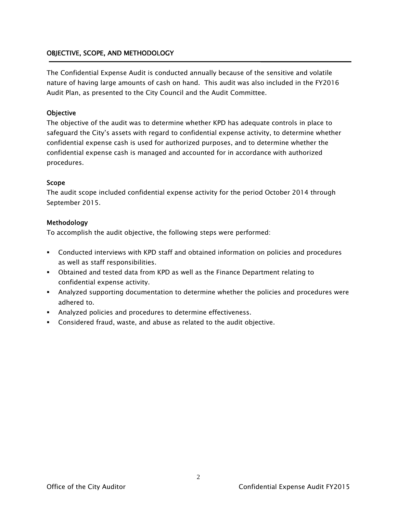#### OBJECTIVE, SCOPE, AND METHODOLOGY

The Confidential Expense Audit is conducted annually because of the sensitive and volatile nature of having large amounts of cash on hand. This audit was also included in the FY2016 Audit Plan, as presented to the City Council and the Audit Committee.

#### **Objective**

The objective of the audit was to determine whether KPD has adequate controls in place to safeguard the City's assets with regard to confidential expense activity, to determine whether confidential expense cash is used for authorized purposes, and to determine whether the confidential expense cash is managed and accounted for in accordance with authorized procedures.

#### Scope

The audit scope included confidential expense activity for the period October 2014 through September 2015.

#### Methodology

To accomplish the audit objective, the following steps were performed:

- Conducted interviews with KPD staff and obtained information on policies and procedures as well as staff responsibilities.
- Obtained and tested data from KPD as well as the Finance Department relating to confidential expense activity.
- Analyzed supporting documentation to determine whether the policies and procedures were adhered to.
- Analyzed policies and procedures to determine effectiveness.
- Considered fraud, waste, and abuse as related to the audit objective.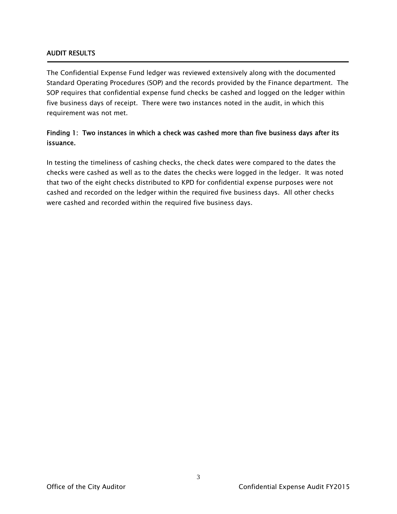#### AUDIT RESULTS

Ī

The Confidential Expense Fund ledger was reviewed extensively along with the documented Standard Operating Procedures (SOP) and the records provided by the Finance department. The SOP requires that confidential expense fund checks be cashed and logged on the ledger within five business days of receipt. There were two instances noted in the audit, in which this requirement was not met.

#### Finding 1: Two instances in which a check was cashed more than five business days after its issuance.

In testing the timeliness of cashing checks, the check dates were compared to the dates the checks were cashed as well as to the dates the checks were logged in the ledger. It was noted that two of the eight checks distributed to KPD for confidential expense purposes were not cashed and recorded on the ledger within the required five business days. All other checks were cashed and recorded within the required five business days.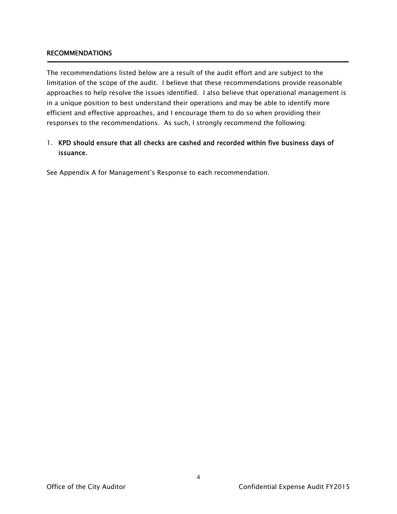#### RECOMMENDATIONS

Ī

The recommendations listed below are a result of the audit effort and are subject to the limitation of the scope of the audit. I believe that these recommendations provide reasonable approaches to help resolve the issues identified. I also believe that operational management is in a unique position to best understand their operations and may be able to identify more efficient and effective approaches, and I encourage them to do so when providing their responses to the recommendations. As such, I strongly recommend the following:

#### 1. KPD should ensure that all checks are cashed and recorded within five business days of issuance.

See Appendix A for Management's Response to each recommendation.